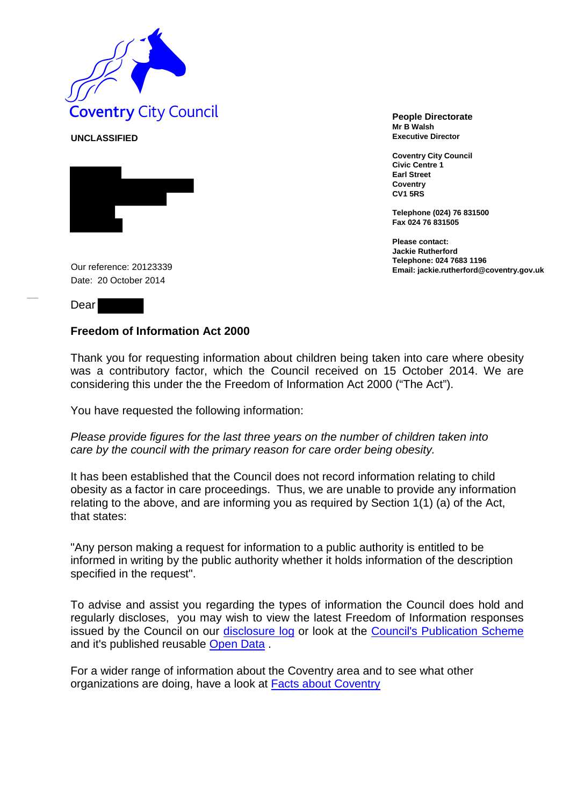

**UNCLASSIFIED**



**Mr B Walsh Executive Director**

**Coventry City Council Civic Centre 1 Earl Street Coventry CV1 5RS**

**Telephone (024) 76 831500 Fax 024 76 831505**

**Please contact: Jackie Rutherford Telephone: 024 7683 1196** Our reference: **Email: jackie.rutherford@coventry.gov.uk** 20123339

Date: 20 October 2014

Dear

## **Freedom of Information Act 2000**

Thank you for requesting information about children being taken into care where obesity was a contributory factor, which the Council received on 15 October 2014. We are considering this under the the Freedom of Information Act 2000 ("The Act").

You have requested the following information:

*Please provide figures for the last three years on the number of children taken into care by the council with the primary reason for care order being obesity.*

It has been established that the Council does not record information relating to child obesity as a factor in care proceedings. Thus, we are unable to provide any information relating to the above, and are informing you as required by Section 1(1) (a) of the Act, that states:

"Any person making a request for information to a public authority is entitled to be informed in writing by the public authority whether it holds information of the description specified in the request".

To advise and assist you regarding the types of information the Council does hold and regularly discloses, you may wish to view the latest Freedom of Information responses issued by the Council on our [disclosure log](http://www.coventry.gov.uk/foieirrequests) or look at the [Council's Publication Scheme](http://www.coventry.gov.uk/info/200031/data_protection_and_freedom_of_information/380/publication_scheme) and it's published reusable [Open Data](http://www.coventry.gov.uk/a_to_z/service/824/open_data).

For a wider range of information about the Coventry area and to see what other organizations are doing, have a look at **Facts about Coventry**